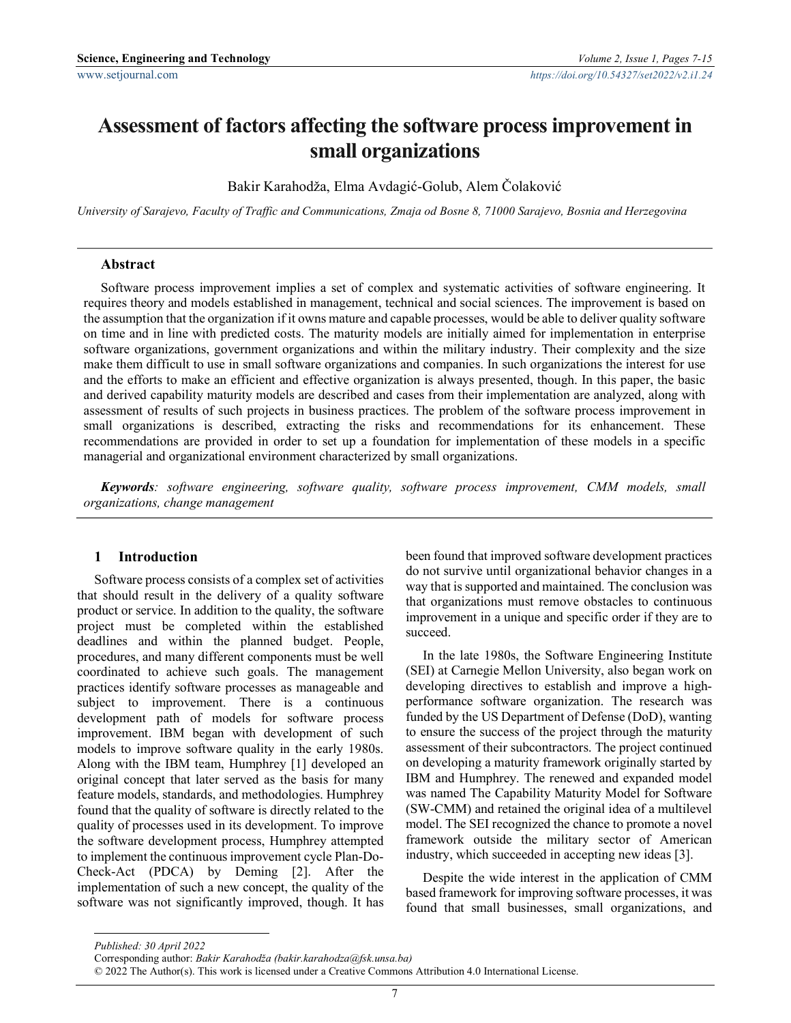# Assessment of factors affecting the software process improvement in small organizations

Bakir Karahodža, Elma Avdagić-Golub, Alem Čolaković

University of Sarajevo, Faculty of Traffic and Communications, Zmaja od Bosne 8, 71000 Sarajevo, Bosnia and Herzegovina

#### Abstract

Software process improvement implies a set of complex and systematic activities of software engineering. It requires theory and models established in management, technical and social sciences. The improvement is based on the assumption that the organization if it owns mature and capable processes, would be able to deliver quality software on time and in line with predicted costs. The maturity models are initially aimed for implementation in enterprise software organizations, government organizations and within the military industry. Their complexity and the size make them difficult to use in small software organizations and companies. In such organizations the interest for use and the efforts to make an efficient and effective organization is always presented, though. In this paper, the basic and derived capability maturity models are described and cases from their implementation are analyzed, along with assessment of results of such projects in business practices. The problem of the software process improvement in small organizations is described, extracting the risks and recommendations for its enhancement. These recommendations are provided in order to set up a foundation for implementation of these models in a specific managerial and organizational environment characterized by small organizations.

Keywords: software engineering, software quality, software process improvement, CMM models, small organizations, change management

#### 1 Introduction

Software process consists of a complex set of activities that should result in the delivery of a quality software product or service. In addition to the quality, the software project must be completed within the established deadlines and within the planned budget. People, procedures, and many different components must be well coordinated to achieve such goals. The management practices identify software processes as manageable and subject to improvement. There is a continuous development path of models for software process improvement. IBM began with development of such models to improve software quality in the early 1980s. Along with the IBM team, Humphrey [1] developed an original concept that later served as the basis for many feature models, standards, and methodologies. Humphrey found that the quality of software is directly related to the quality of processes used in its development. To improve the software development process, Humphrey attempted to implement the continuous improvement cycle Plan-Do-Check-Act (PDCA) by Deming [2]. After the implementation of such a new concept, the quality of the software was not significantly improved, though. It has been found that improved software development practices do not survive until organizational behavior changes in a way that is supported and maintained. The conclusion was that organizations must remove obstacles to continuous improvement in a unique and specific order if they are to succeed.

In the late 1980s, the Software Engineering Institute (SEI) at Carnegie Mellon University, also began work on developing directives to establish and improve a highperformance software organization. The research was funded by the US Department of Defense (DoD), wanting to ensure the success of the project through the maturity assessment of their subcontractors. The project continued on developing a maturity framework originally started by IBM and Humphrey. The renewed and expanded model was named The Capability Maturity Model for Software (SW-CMM) and retained the original idea of a multilevel model. The SEI recognized the chance to promote a novel framework outside the military sector of American industry, which succeeded in accepting new ideas [3].

Despite the wide interest in the application of CMM based framework for improving software processes, it was found that small businesses, small organizations, and

-

Published: 30 April 2022

Corresponding author: Bakir Karahodža (bakir.karahodza@fsk.unsa.ba)

<sup>© 2022</sup> The Author(s). This work is licensed under a Creative Commons Attribution 4.0 International License.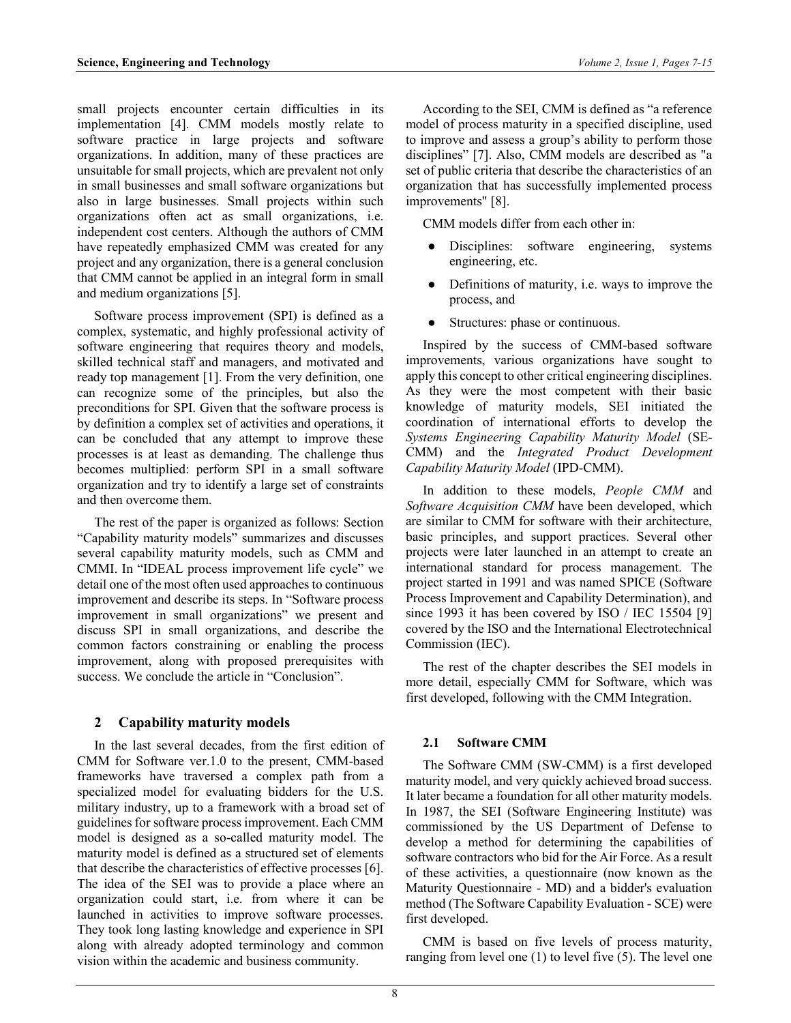small projects encounter certain difficulties in its implementation [4]. CMM models mostly relate to software practice in large projects and software organizations. In addition, many of these practices are unsuitable for small projects, which are prevalent not only in small businesses and small software organizations but also in large businesses. Small projects within such organizations often act as small organizations, i.e. independent cost centers. Although the authors of CMM have repeatedly emphasized CMM was created for any project and any organization, there is a general conclusion that CMM cannot be applied in an integral form in small and medium organizations [5].

Software process improvement (SPI) is defined as a complex, systematic, and highly professional activity of software engineering that requires theory and models, skilled technical staff and managers, and motivated and ready top management [1]. From the very definition, one can recognize some of the principles, but also the preconditions for SPI. Given that the software process is by definition a complex set of activities and operations, it can be concluded that any attempt to improve these processes is at least as demanding. The challenge thus becomes multiplied: perform SPI in a small software organization and try to identify a large set of constraints and then overcome them.

The rest of the paper is organized as follows: Section "Capability maturity models" summarizes and discusses several capability maturity models, such as CMM and CMMI. In "IDEAL process improvement life cycle" we detail one of the most often used approaches to continuous improvement and describe its steps. In "Software process improvement in small organizations" we present and discuss SPI in small organizations, and describe the common factors constraining or enabling the process improvement, along with proposed prerequisites with success. We conclude the article in "Conclusion".

## 2 Capability maturity models

In the last several decades, from the first edition of CMM for Software ver.1.0 to the present, CMM-based frameworks have traversed a complex path from a specialized model for evaluating bidders for the U.S. military industry, up to a framework with a broad set of guidelines for software process improvement. Each CMM model is designed as a so-called maturity model. The maturity model is defined as a structured set of elements that describe the characteristics of effective processes [6]. The idea of the SEI was to provide a place where an organization could start, i.e. from where it can be launched in activities to improve software processes. They took long lasting knowledge and experience in SPI along with already adopted terminology and common vision within the academic and business community.

According to the SEI, CMM is defined as "a reference model of process maturity in a specified discipline, used to improve and assess a group's ability to perform those disciplines" [7]. Also, CMM models are described as "a set of public criteria that describe the characteristics of an organization that has successfully implemented process improvements" [8].

CMM models differ from each other in:

- Disciplines: software engineering, systems engineering, etc.
- Definitions of maturity, i.e. ways to improve the process, and
- Structures: phase or continuous.

Inspired by the success of CMM-based software improvements, various organizations have sought to apply this concept to other critical engineering disciplines. As they were the most competent with their basic knowledge of maturity models, SEI initiated the coordination of international efforts to develop the Systems Engineering Capability Maturity Model (SE-CMM) and the Integrated Product Development Capability Maturity Model (IPD-CMM).

In addition to these models, People CMM and Software Acquisition CMM have been developed, which are similar to CMM for software with their architecture, basic principles, and support practices. Several other projects were later launched in an attempt to create an international standard for process management. The project started in 1991 and was named SPICE (Software Process Improvement and Capability Determination), and since 1993 it has been covered by ISO / IEC 15504 [9] covered by the ISO and the International Electrotechnical Commission (IEC).

The rest of the chapter describes the SEI models in more detail, especially CMM for Software, which was first developed, following with the CMM Integration.

# 2.1 Software CMM

The Software CMM (SW-CMM) is a first developed maturity model, and very quickly achieved broad success. It later became a foundation for all other maturity models. In 1987, the SEI (Software Engineering Institute) was commissioned by the US Department of Defense to develop a method for determining the capabilities of software contractors who bid for the Air Force. As a result of these activities, a questionnaire (now known as the Maturity Questionnaire - MD) and a bidder's evaluation method (The Software Capability Evaluation - SCE) were first developed.

CMM is based on five levels of process maturity, ranging from level one (1) to level five (5). The level one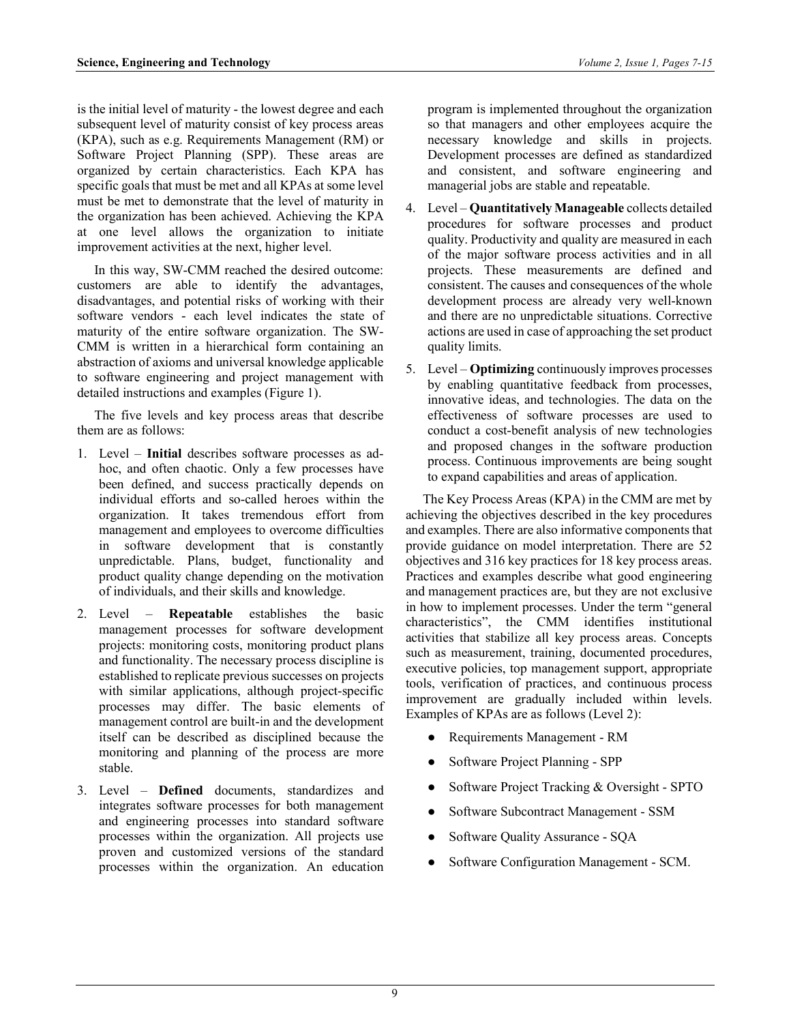is the initial level of maturity - the lowest degree and each subsequent level of maturity consist of key process areas (KPA), such as e.g. Requirements Management (RM) or Software Project Planning (SPP). These areas are organized by certain characteristics. Each KPA has specific goals that must be met and all KPAs at some level must be met to demonstrate that the level of maturity in the organization has been achieved. Achieving the KPA at one level allows the organization to initiate improvement activities at the next, higher level.

In this way, SW-CMM reached the desired outcome: customers are able to identify the advantages, disadvantages, and potential risks of working with their software vendors - each level indicates the state of maturity of the entire software organization. The SW-CMM is written in a hierarchical form containing an abstraction of axioms and universal knowledge applicable to software engineering and project management with detailed instructions and examples (Figure 1).

The five levels and key process areas that describe them are as follows:

- 1. Level Initial describes software processes as adhoc, and often chaotic. Only a few processes have been defined, and success practically depends on individual efforts and so-called heroes within the organization. It takes tremendous effort from management and employees to overcome difficulties in software development that is constantly unpredictable. Plans, budget, functionality and product quality change depending on the motivation of individuals, and their skills and knowledge.
- 2. Level Repeatable establishes the basic management processes for software development projects: monitoring costs, monitoring product plans and functionality. The necessary process discipline is established to replicate previous successes on projects with similar applications, although project-specific processes may differ. The basic elements of management control are built-in and the development itself can be described as disciplined because the monitoring and planning of the process are more stable.
- 3. Level Defined documents, standardizes and integrates software processes for both management and engineering processes into standard software processes within the organization. All projects use proven and customized versions of the standard processes within the organization. An education

program is implemented throughout the organization so that managers and other employees acquire the necessary knowledge and skills in projects. Development processes are defined as standardized and consistent, and software engineering and managerial jobs are stable and repeatable.

- 4. Level Quantitatively Manageable collects detailed procedures for software processes and product quality. Productivity and quality are measured in each of the major software process activities and in all projects. These measurements are defined and consistent. The causes and consequences of the whole development process are already very well-known and there are no unpredictable situations. Corrective actions are used in case of approaching the set product quality limits.
- 5. Level **Optimizing** continuously improves processes by enabling quantitative feedback from processes, innovative ideas, and technologies. The data on the effectiveness of software processes are used to conduct a cost-benefit analysis of new technologies and proposed changes in the software production process. Continuous improvements are being sought to expand capabilities and areas of application.

The Key Process Areas (KPA) in the CMM are met by achieving the objectives described in the key procedures and examples. There are also informative components that provide guidance on model interpretation. There are 52 objectives and 316 key practices for 18 key process areas. Practices and examples describe what good engineering and management practices are, but they are not exclusive in how to implement processes. Under the term "general characteristics", the CMM identifies institutional activities that stabilize all key process areas. Concepts such as measurement, training, documented procedures, executive policies, top management support, appropriate tools, verification of practices, and continuous process improvement are gradually included within levels. Examples of KPAs are as follows (Level 2):

- Requirements Management RM
- Software Project Planning SPP
- Software Project Tracking & Oversight SPTO
- Software Subcontract Management SSM
- Software Quality Assurance SQA
- Software Configuration Management SCM.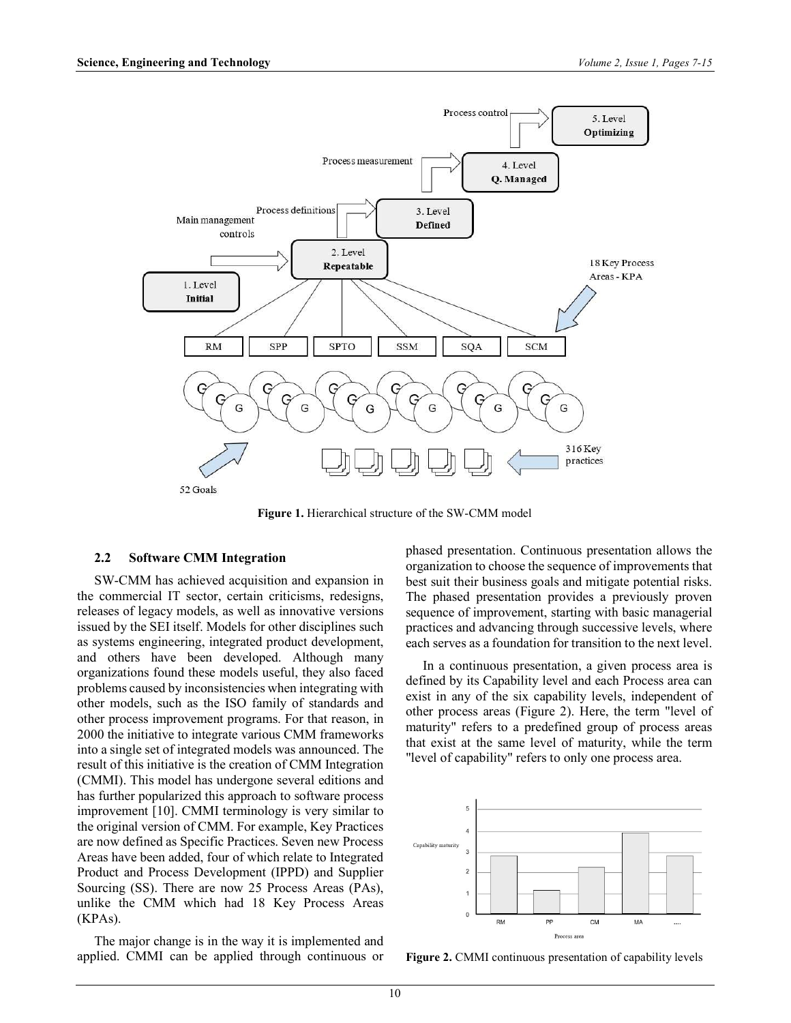

Figure 1. Hierarchical structure of the SW-CMM model

#### 2.2 Software CMM Integration

SW-CMM has achieved acquisition and expansion in the commercial IT sector, certain criticisms, redesigns, releases of legacy models, as well as innovative versions issued by the SEI itself. Models for other disciplines such as systems engineering, integrated product development, and others have been developed. Although many organizations found these models useful, they also faced problems caused by inconsistencies when integrating with other models, such as the ISO family of standards and other process improvement programs. For that reason, in 2000 the initiative to integrate various CMM frameworks into a single set of integrated models was announced. The result of this initiative is the creation of CMM Integration (CMMI). This model has undergone several editions and has further popularized this approach to software process improvement [10]. CMMI terminology is very similar to the original version of CMM. For example, Key Practices are now defined as Specific Practices. Seven new Process Areas have been added, four of which relate to Integrated Product and Process Development (IPPD) and Supplier Sourcing (SS). There are now 25 Process Areas (PAs), unlike the CMM which had 18 Key Process Areas (KPAs).

The major change is in the way it is implemented and applied. CMMI can be applied through continuous or phased presentation. Continuous presentation allows the organization to choose the sequence of improvements that best suit their business goals and mitigate potential risks. The phased presentation provides a previously proven sequence of improvement, starting with basic managerial practices and advancing through successive levels, where each serves as a foundation for transition to the next level.

In a continuous presentation, a given process area is defined by its Capability level and each Process area can exist in any of the six capability levels, independent of other process areas (Figure 2). Here, the term "level of maturity" refers to a predefined group of process areas that exist at the same level of maturity, while the term "level of capability" refers to only one process area.



Figure 2. CMMI continuous presentation of capability levels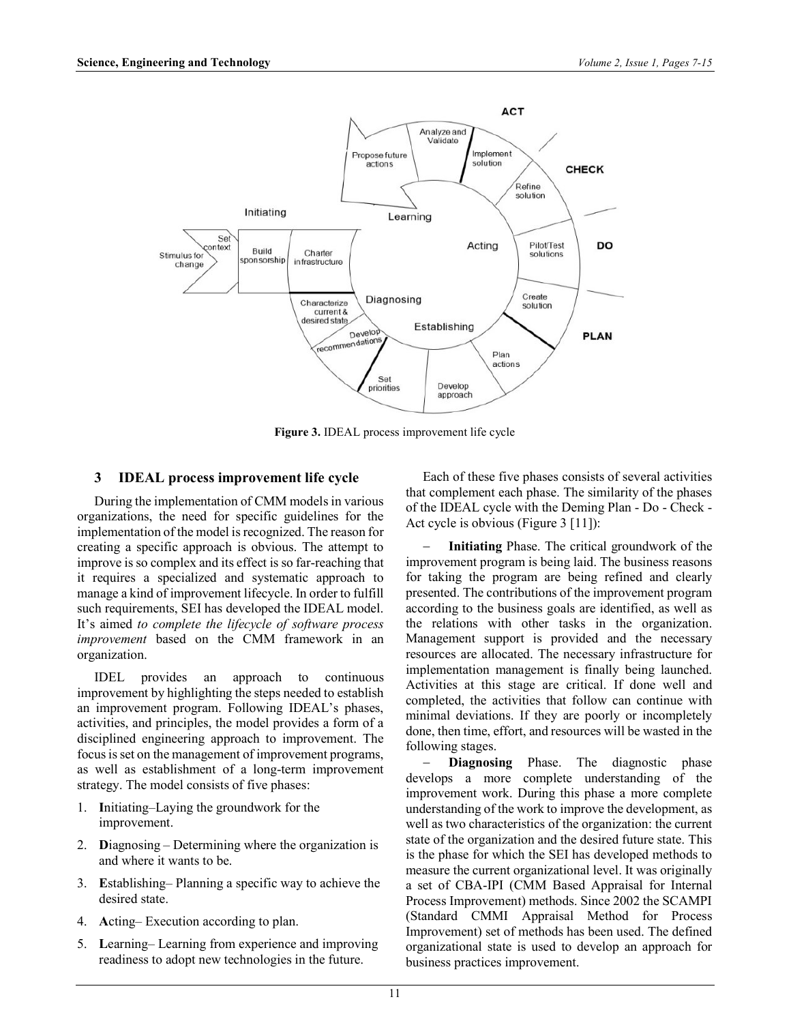

Figure 3. IDEAL process improvement life cycle

## 3 IDEAL process improvement life cycle

During the implementation of CMM models in various organizations, the need for specific guidelines for the implementation of the model is recognized. The reason for creating a specific approach is obvious. The attempt to improve is so complex and its effect is so far-reaching that it requires a specialized and systematic approach to manage a kind of improvement lifecycle. In order to fulfill such requirements, SEI has developed the IDEAL model. It's aimed to complete the lifecycle of software process improvement based on the CMM framework in an organization.

IDEL provides an approach to continuous improvement by highlighting the steps needed to establish an improvement program. Following IDEAL's phases, activities, and principles, the model provides a form of a disciplined engineering approach to improvement. The focus is set on the management of improvement programs, as well as establishment of a long-term improvement strategy. The model consists of five phases:

- 1. Initiating–Laying the groundwork for the improvement.
- 2. Diagnosing Determining where the organization is and where it wants to be.
- 3. Establishing– Planning a specific way to achieve the desired state.
- 4. Acting– Execution according to plan.
- 5. Learning– Learning from experience and improving readiness to adopt new technologies in the future.

Each of these five phases consists of several activities that complement each phase. The similarity of the phases of the IDEAL cycle with the Deming Plan - Do - Check - Act cycle is obvious (Figure 3 [11]):

 Initiating Phase. The critical groundwork of the improvement program is being laid. The business reasons for taking the program are being refined and clearly presented. The contributions of the improvement program according to the business goals are identified, as well as the relations with other tasks in the organization. Management support is provided and the necessary resources are allocated. The necessary infrastructure for implementation management is finally being launched. Activities at this stage are critical. If done well and completed, the activities that follow can continue with minimal deviations. If they are poorly or incompletely done, then time, effort, and resources will be wasted in the following stages.

Diagnosing Phase. The diagnostic phase develops a more complete understanding of the improvement work. During this phase a more complete understanding of the work to improve the development, as well as two characteristics of the organization: the current state of the organization and the desired future state. This is the phase for which the SEI has developed methods to measure the current organizational level. It was originally a set of CBA-IPI (CMM Based Appraisal for Internal Process Improvement) methods. Since 2002 the SCAMPI (Standard CMMI Appraisal Method for Process Improvement) set of methods has been used. The defined organizational state is used to develop an approach for business practices improvement.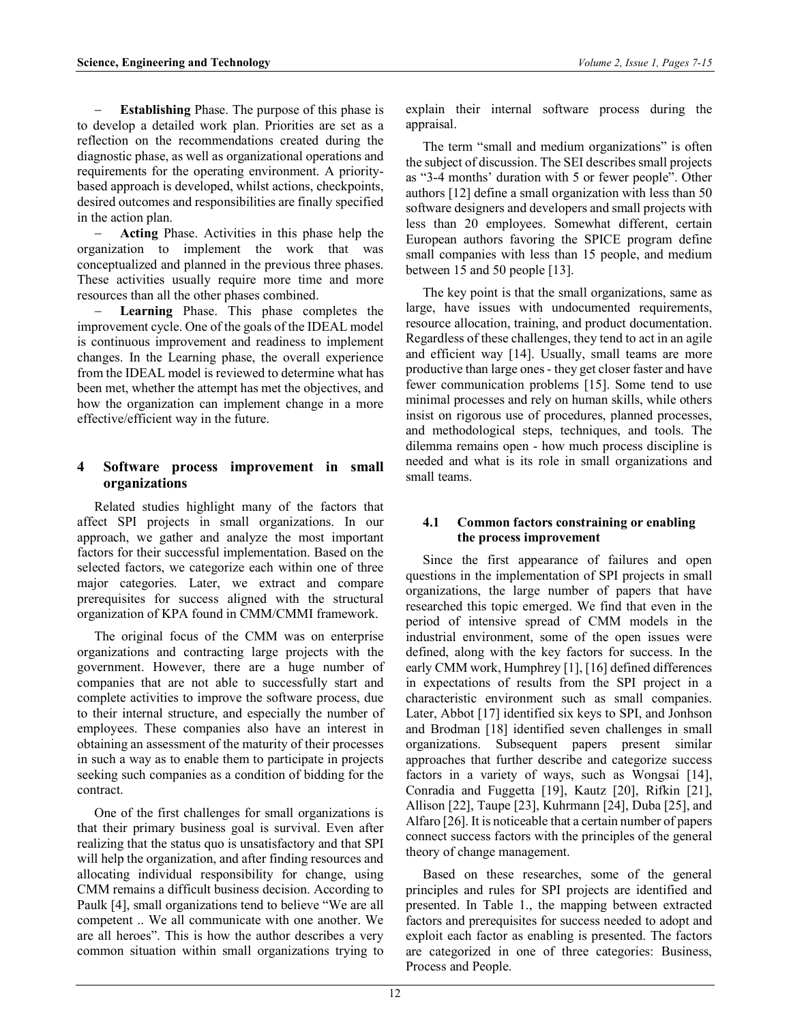Establishing Phase. The purpose of this phase is to develop a detailed work plan. Priorities are set as a reflection on the recommendations created during the diagnostic phase, as well as organizational operations and requirements for the operating environment. A prioritybased approach is developed, whilst actions, checkpoints, desired outcomes and responsibilities are finally specified in the action plan.

 Acting Phase. Activities in this phase help the organization to implement the work that was conceptualized and planned in the previous three phases. These activities usually require more time and more resources than all the other phases combined.

 Learning Phase. This phase completes the improvement cycle. One of the goals of the IDEAL model is continuous improvement and readiness to implement changes. In the Learning phase, the overall experience from the IDEAL model is reviewed to determine what has been met, whether the attempt has met the objectives, and how the organization can implement change in a more effective/efficient way in the future.

## 4 Software process improvement in small organizations

Related studies highlight many of the factors that affect SPI projects in small organizations. In our approach, we gather and analyze the most important factors for their successful implementation. Based on the selected factors, we categorize each within one of three major categories. Later, we extract and compare prerequisites for success aligned with the structural organization of KPA found in CMM/CMMI framework.

The original focus of the CMM was on enterprise organizations and contracting large projects with the government. However, there are a huge number of companies that are not able to successfully start and complete activities to improve the software process, due to their internal structure, and especially the number of employees. These companies also have an interest in obtaining an assessment of the maturity of their processes in such a way as to enable them to participate in projects seeking such companies as a condition of bidding for the contract.

One of the first challenges for small organizations is that their primary business goal is survival. Even after realizing that the status quo is unsatisfactory and that SPI will help the organization, and after finding resources and allocating individual responsibility for change, using CMM remains a difficult business decision. According to Paulk [4], small organizations tend to believe "We are all competent .. We all communicate with one another. We are all heroes". This is how the author describes a very common situation within small organizations trying to explain their internal software process during the appraisal.

The term "small and medium organizations" is often the subject of discussion. The SEI describes small projects as "3-4 months' duration with 5 or fewer people". Other authors [12] define a small organization with less than 50 software designers and developers and small projects with less than 20 employees. Somewhat different, certain European authors favoring the SPICE program define small companies with less than 15 people, and medium between 15 and 50 people [13].

The key point is that the small organizations, same as large, have issues with undocumented requirements, resource allocation, training, and product documentation. Regardless of these challenges, they tend to act in an agile and efficient way [14]. Usually, small teams are more productive than large ones - they get closer faster and have fewer communication problems [15]. Some tend to use minimal processes and rely on human skills, while others insist on rigorous use of procedures, planned processes, and methodological steps, techniques, and tools. The dilemma remains open - how much process discipline is needed and what is its role in small organizations and small teams.

### 4.1 Common factors constraining or enabling the process improvement

Since the first appearance of failures and open questions in the implementation of SPI projects in small organizations, the large number of papers that have researched this topic emerged. We find that even in the period of intensive spread of CMM models in the industrial environment, some of the open issues were defined, along with the key factors for success. In the early CMM work, Humphrey [1], [16] defined differences in expectations of results from the SPI project in a characteristic environment such as small companies. Later, Abbot [17] identified six keys to SPI, and Jonhson and Brodman [18] identified seven challenges in small organizations. Subsequent papers present similar approaches that further describe and categorize success factors in a variety of ways, such as Wongsai [14], Conradia and Fuggetta [19], Kautz [20], Rifkin [21], Allison [22], Taupe [23], Kuhrmann [24], Duba [25], and Alfaro [26]. It is noticeable that a certain number of papers connect success factors with the principles of the general theory of change management.

Based on these researches, some of the general principles and rules for SPI projects are identified and presented. In Table 1., the mapping between extracted factors and prerequisites for success needed to adopt and exploit each factor as enabling is presented. The factors are categorized in one of three categories: Business, Process and People.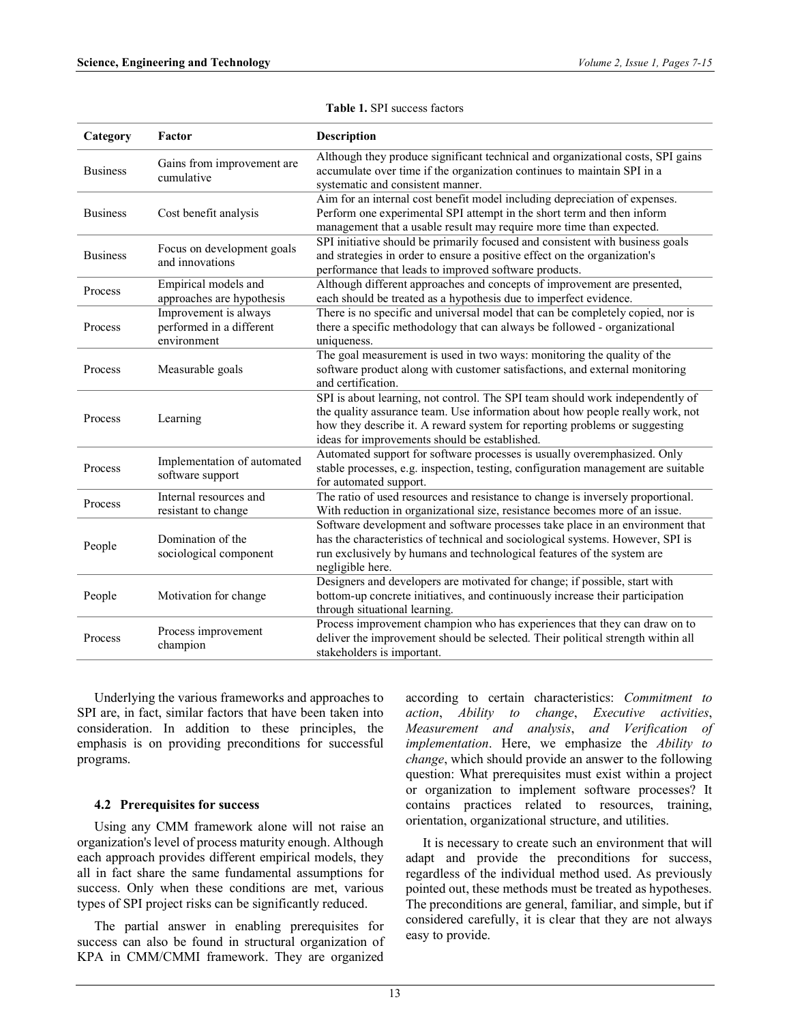| Category        | Factor                                                           | <b>Description</b>                                                                                                                                                                                                                                                                            |
|-----------------|------------------------------------------------------------------|-----------------------------------------------------------------------------------------------------------------------------------------------------------------------------------------------------------------------------------------------------------------------------------------------|
| <b>Business</b> | Gains from improvement are<br>cumulative                         | Although they produce significant technical and organizational costs, SPI gains<br>accumulate over time if the organization continues to maintain SPI in a<br>systematic and consistent manner.                                                                                               |
| <b>Business</b> | Cost benefit analysis                                            | Aim for an internal cost benefit model including depreciation of expenses.<br>Perform one experimental SPI attempt in the short term and then inform<br>management that a usable result may require more time than expected.                                                                  |
| <b>Business</b> | Focus on development goals<br>and innovations                    | SPI initiative should be primarily focused and consistent with business goals<br>and strategies in order to ensure a positive effect on the organization's<br>performance that leads to improved software products.                                                                           |
| Process         | Empirical models and<br>approaches are hypothesis                | Although different approaches and concepts of improvement are presented,<br>each should be treated as a hypothesis due to imperfect evidence.                                                                                                                                                 |
| Process         | Improvement is always<br>performed in a different<br>environment | There is no specific and universal model that can be completely copied, nor is<br>there a specific methodology that can always be followed - organizational<br>uniqueness.                                                                                                                    |
| Process         | Measurable goals                                                 | The goal measurement is used in two ways: monitoring the quality of the<br>software product along with customer satisfactions, and external monitoring<br>and certification.                                                                                                                  |
| Process         | Learning                                                         | SPI is about learning, not control. The SPI team should work independently of<br>the quality assurance team. Use information about how people really work, not<br>how they describe it. A reward system for reporting problems or suggesting<br>ideas for improvements should be established. |
| Process         | Implementation of automated<br>software support                  | Automated support for software processes is usually overemphasized. Only<br>stable processes, e.g. inspection, testing, configuration management are suitable<br>for automated support.                                                                                                       |
| Process         | Internal resources and<br>resistant to change                    | The ratio of used resources and resistance to change is inversely proportional.<br>With reduction in organizational size, resistance becomes more of an issue.                                                                                                                                |
| People          | Domination of the<br>sociological component                      | Software development and software processes take place in an environment that<br>has the characteristics of technical and sociological systems. However, SPI is<br>run exclusively by humans and technological features of the system are<br>negligible here.                                 |
| People          | Motivation for change                                            | Designers and developers are motivated for change; if possible, start with<br>bottom-up concrete initiatives, and continuously increase their participation<br>through situational learning.                                                                                                  |
| Process         | Process improvement<br>champion                                  | Process improvement champion who has experiences that they can draw on to<br>deliver the improvement should be selected. Their political strength within all<br>stakeholders is important.                                                                                                    |

Table 1. SPI success factors

Underlying the various frameworks and approaches to SPI are, in fact, similar factors that have been taken into consideration. In addition to these principles, the emphasis is on providing preconditions for successful programs.

#### 4.2 Prerequisites for success

Using any CMM framework alone will not raise an organization's level of process maturity enough. Although each approach provides different empirical models, they all in fact share the same fundamental assumptions for success. Only when these conditions are met, various types of SPI project risks can be significantly reduced.

The partial answer in enabling prerequisites for success can also be found in structural organization of KPA in CMM/CMMI framework. They are organized

according to certain characteristics: Commitment to action, Ability to change, Executive activities, Measurement and analysis, and Verification of implementation. Here, we emphasize the Ability to change, which should provide an answer to the following question: What prerequisites must exist within a project or organization to implement software processes? It contains practices related to resources, training, orientation, organizational structure, and utilities.

It is necessary to create such an environment that will adapt and provide the preconditions for success, regardless of the individual method used. As previously pointed out, these methods must be treated as hypotheses. The preconditions are general, familiar, and simple, but if considered carefully, it is clear that they are not always easy to provide.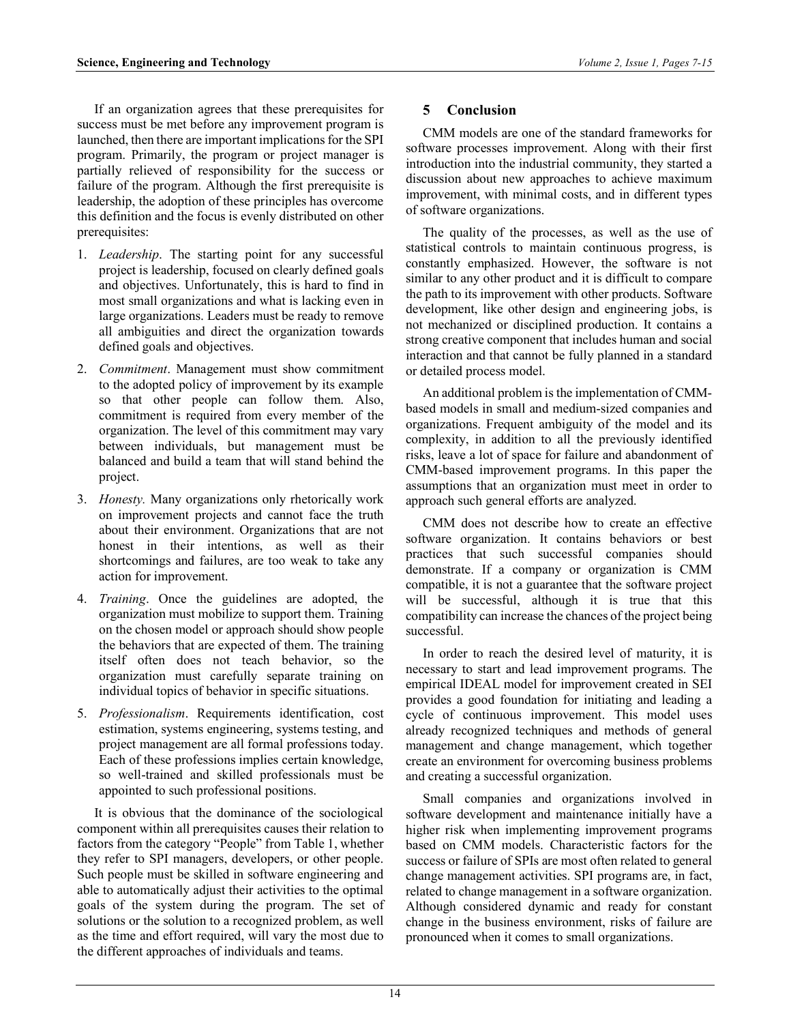If an organization agrees that these prerequisites for success must be met before any improvement program is launched, then there are important implications for the SPI program. Primarily, the program or project manager is partially relieved of responsibility for the success or failure of the program. Although the first prerequisite is leadership, the adoption of these principles has overcome this definition and the focus is evenly distributed on other prerequisites:

- 1. Leadership. The starting point for any successful project is leadership, focused on clearly defined goals and objectives. Unfortunately, this is hard to find in most small organizations and what is lacking even in large organizations. Leaders must be ready to remove all ambiguities and direct the organization towards defined goals and objectives.
- 2. Commitment. Management must show commitment to the adopted policy of improvement by its example so that other people can follow them. Also, commitment is required from every member of the organization. The level of this commitment may vary between individuals, but management must be balanced and build a team that will stand behind the project.
- 3. Honesty. Many organizations only rhetorically work on improvement projects and cannot face the truth about their environment. Organizations that are not honest in their intentions, as well as their shortcomings and failures, are too weak to take any action for improvement.
- 4. Training. Once the guidelines are adopted, the organization must mobilize to support them. Training on the chosen model or approach should show people the behaviors that are expected of them. The training itself often does not teach behavior, so the organization must carefully separate training on individual topics of behavior in specific situations.
- 5. Professionalism. Requirements identification, cost estimation, systems engineering, systems testing, and project management are all formal professions today. Each of these professions implies certain knowledge, so well-trained and skilled professionals must be appointed to such professional positions.

It is obvious that the dominance of the sociological component within all prerequisites causes their relation to factors from the category "People" from Table 1, whether they refer to SPI managers, developers, or other people. Such people must be skilled in software engineering and able to automatically adjust their activities to the optimal goals of the system during the program. The set of solutions or the solution to a recognized problem, as well as the time and effort required, will vary the most due to the different approaches of individuals and teams.

# 5 Conclusion

CMM models are one of the standard frameworks for software processes improvement. Along with their first introduction into the industrial community, they started a discussion about new approaches to achieve maximum improvement, with minimal costs, and in different types of software organizations.

The quality of the processes, as well as the use of statistical controls to maintain continuous progress, is constantly emphasized. However, the software is not similar to any other product and it is difficult to compare the path to its improvement with other products. Software development, like other design and engineering jobs, is not mechanized or disciplined production. It contains a strong creative component that includes human and social interaction and that cannot be fully planned in a standard or detailed process model.

An additional problem is the implementation of CMMbased models in small and medium-sized companies and organizations. Frequent ambiguity of the model and its complexity, in addition to all the previously identified risks, leave a lot of space for failure and abandonment of CMM-based improvement programs. In this paper the assumptions that an organization must meet in order to approach such general efforts are analyzed.

CMM does not describe how to create an effective software organization. It contains behaviors or best practices that such successful companies should demonstrate. If a company or organization is CMM compatible, it is not a guarantee that the software project will be successful, although it is true that this compatibility can increase the chances of the project being successful.

In order to reach the desired level of maturity, it is necessary to start and lead improvement programs. The empirical IDEAL model for improvement created in SEI provides a good foundation for initiating and leading a cycle of continuous improvement. This model uses already recognized techniques and methods of general management and change management, which together create an environment for overcoming business problems and creating a successful organization.

Small companies and organizations involved in software development and maintenance initially have a higher risk when implementing improvement programs based on CMM models. Characteristic factors for the success or failure of SPIs are most often related to general change management activities. SPI programs are, in fact, related to change management in a software organization. Although considered dynamic and ready for constant change in the business environment, risks of failure are pronounced when it comes to small organizations.